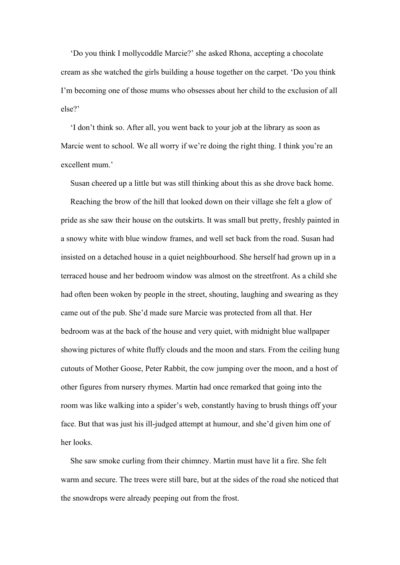'Do you think I mollycoddle Marcie?' she asked Rhona, accepting a chocolate cream as she watched the girls building a house together on the carpet. 'Do you think I'm becoming one of those mums who obsesses about her child to the exclusion of all else?'

'I don't think so. After all, you went back to your job at the library as soon as Marcie went to school. We all worry if we're doing the right thing. I think you're an excellent mum.'

Susan cheered up a little but was still thinking about this as she drove back home.

Reaching the brow of the hill that looked down on their village she felt a glow of pride as she saw their house on the outskirts. It was small but pretty, freshly painted in a snowy white with blue window frames, and well set back from the road. Susan had insisted on a detached house in a quiet neighbourhood. She herself had grown up in a terraced house and her bedroom window was almost on the streetfront. As a child she had often been woken by people in the street, shouting, laughing and swearing as they came out of the pub. She'd made sure Marcie was protected from all that. Her bedroom was at the back of the house and very quiet, with midnight blue wallpaper showing pictures of white fluffy clouds and the moon and stars. From the ceiling hung cutouts of Mother Goose, Peter Rabbit, the cow jumping over the moon, and a host of other figures from nursery rhymes. Martin had once remarked that going into the room was like walking into a spider's web, constantly having to brush things off your face. But that was just his ill-judged attempt at humour, and she'd given him one of her looks.

She saw smoke curling from their chimney. Martin must have lit a fire. She felt warm and secure. The trees were still bare, but at the sides of the road she noticed that the snowdrops were already peeping out from the frost.